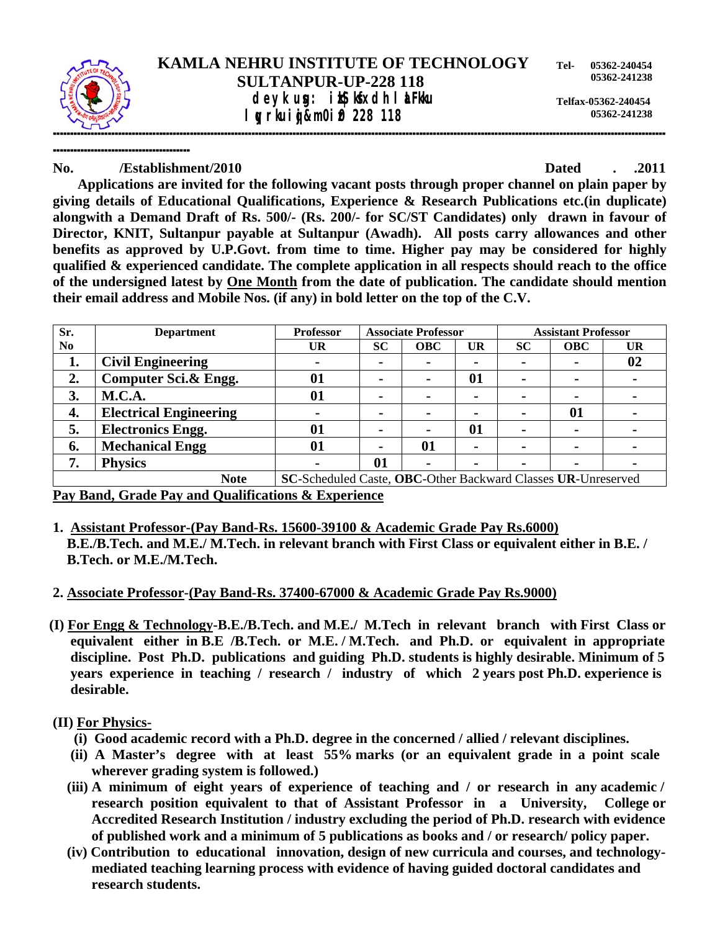

## **SULTANPUR-UP-228 118 deyk ug: ix Kkdh I aFku** *l v*rkuij&m0i0 228 118

**Telfax-05362-240454 05362-241238** 

**---------------------------------------- No. /Establishment/2010 Dated . .2011** 

 **Applications are invited for the following vacant posts through proper channel on plain paper by giving details of Educational Qualifications, Experience & Research Publications etc.(in duplicate) alongwith a Demand Draft of Rs. 500/- (Rs. 200/- for SC/ST Candidates) only drawn in favour of Director, KNIT, Sultanpur payable at Sultanpur (Awadh). All posts carry allowances and other benefits as approved by U.P.Govt. from time to time. Higher pay may be considered for highly qualified & experienced candidate. The complete application in all respects should reach to the office of the undersigned latest by One Month from the date of publication. The candidate should mention their email address and Mobile Nos. (if any) in bold letter on the top of the C.V.** 

| Sr.                                                                         | <b>Department</b>             | <b>Professor</b> | <b>Associate Professor</b> |            |                | <b>Assistant Professor</b> |            |           |
|-----------------------------------------------------------------------------|-------------------------------|------------------|----------------------------|------------|----------------|----------------------------|------------|-----------|
| N <sub>0</sub>                                                              |                               | <b>UR</b>        | <b>SC</b>                  | <b>OBC</b> | <b>UR</b>      | <b>SC</b>                  | <b>OBC</b> | <b>UR</b> |
| 1.                                                                          | <b>Civil Engineering</b>      |                  |                            |            | $\blacksquare$ |                            |            | 02        |
| 2.                                                                          | Computer Sci.& Engg.          | 01               |                            |            | 01             | $\blacksquare$             |            |           |
| 3.                                                                          | <b>M.C.A.</b>                 | 01               |                            |            | $\blacksquare$ | $\overline{\phantom{0}}$   |            |           |
| 4.                                                                          | <b>Electrical Engineering</b> |                  |                            |            | $\blacksquare$ | -                          | 01         |           |
| 5.                                                                          | <b>Electronics Engg.</b>      | 01               |                            |            | 01             | $\overline{\phantom{0}}$   |            |           |
| 6.                                                                          | <b>Mechanical Engg</b>        | 01               |                            | 01         | $\blacksquare$ |                            |            |           |
| 7.                                                                          | <b>Physics</b>                | $\blacksquare$   | 01                         |            | $\blacksquare$ | $\blacksquare$             | $\sim$     |           |
| SC-Scheduled Caste, OBC-Other Backward Classes UR-Unreserved<br><b>Note</b> |                               |                  |                            |            |                |                            |            |           |

**Pay Band, Grade Pay and Qualifications & Experience**

- **1. Assistant Professor-(Pay Band-Rs. 15600-39100 & Academic Grade Pay Rs.6000) B.E./B.Tech. and M.E./ M.Tech. in relevant branch with First Class or equivalent either in B.E. / B.Tech. or M.E./M.Tech.**
- **2. Associate Professor-(Pay Band-Rs. 37400-67000 & Academic Grade Pay Rs.9000)**
- **(I) For Engg & Technology-B.E./B.Tech. and M.E./ M.Tech in relevant branch with First Class or equivalent either in B.E /B.Tech. or M.E. / M.Tech. and Ph.D. or equivalent in appropriate discipline. Post Ph.D. publications and guiding Ph.D. students is highly desirable. Minimum of 5 years experience in teaching / research / industry of which 2 years post Ph.D. experience is desirable.**

# **(II) For Physics-**

- **(i) Good academic record with a Ph.D. degree in the concerned / allied / relevant disciplines.**
- **(ii) A Master's degree with at least 55% marks (or an equivalent grade in a point scale wherever grading system is followed.)**
- **(iii) A minimum of eight years of experience of teaching and / or research in any academic / research position equivalent to that of Assistant Professor in a University, College or Accredited Research Institution / industry excluding the period of Ph.D. research with evidence of published work and a minimum of 5 publications as books and / or research/ policy paper.**
- **(iv) Contribution to educational innovation, design of new curricula and courses, and technology mediated teaching learning process with evidence of having guided doctoral candidates and research students.**